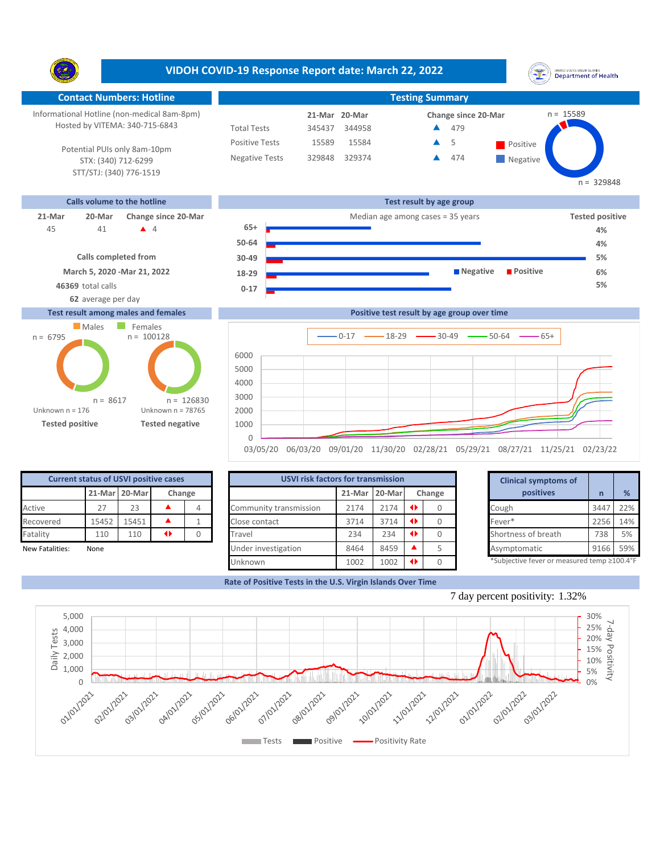**VIDOH COVID-19 Response Report date: March 22, 2022** UNITED STATES VIRGIN SLANDS<br>Department of Health Y. **Contact Numbers: Hotline Testing Summary** Informational Hotline (non-medical 8am-8pm)  $n = 15589$ **21-Mar Change since 20-Mar 20-Mar** Hosted by VITEMA: 340-715-6843 Total Tests 345437 344958 479 ▲ Positive Tests 15589 15584 **A** 5 **Positive**  $\blacktriangle$ 5 Potential PUIs only 8am-10pm Negative Tests 329848 329374 474 ▲ **Negative** STX: (340) 712-6299 STT/STJ: (340) 776-1519  $n = 329848$ **Calls volume to the hotline Test result by age group 21-Mar 20-Mar Change since 20-Mar Change since 20-Mar Change and Change among cases = 35 years Tested positive 65+** 41 **4** 4 45 41 ▲ 4 **65+ <del>■ 100</del> 100 → 100 → 100 → 100 → 100 → 100 → 100 → 100 → 100 → 100 → 100 → 100 → 100 → 100 → 100 → 100 → 100 → 100 → 100 → 100 → 100 → 100 → 100 → 100 → 100 → 100 → 100 → 100 → 100 → 100 → 100 → 100 → 100 → 50-64 4% Calls completed from 5% 30-49**

> **0-17 18-29**

**March 5, 2020 -Mar 21, 2022**

**46369** total calls **5% 62** average per day

## **Test result among males and females**





| <b>Current status of USVI positive cases</b> |           |       |  |  |  |  |  |  |  |  |  |
|----------------------------------------------|-----------|-------|--|--|--|--|--|--|--|--|--|
| 21-Mar 20-Mar<br>Change                      |           |       |  |  |  |  |  |  |  |  |  |
| Active                                       | 27        | 23    |  |  |  |  |  |  |  |  |  |
| Recovered                                    | 15452     | 15451 |  |  |  |  |  |  |  |  |  |
| Fatality                                     | 110       | 110   |  |  |  |  |  |  |  |  |  |
| ありょうし ロッチュ じょうえいし                            | $81 - 12$ |       |  |  |  |  |  |  |  |  |  |

|                 | <b>Current status of USVI positive cases</b> |               |                 |        | <b>USVI risk factors for transmission</b> |      | <b>Clinical symptoms of</b> |        |                                            |      |     |
|-----------------|----------------------------------------------|---------------|-----------------|--------|-------------------------------------------|------|-----------------------------|--------|--------------------------------------------|------|-----|
|                 |                                              | 21-Mar 20-Mar |                 | Change |                                           |      | 21-Mar 20-Mar               | Change | positives                                  |      | %   |
| Active          |                                              | 23            |                 |        | Community transmission                    | 2174 | 2174                        |        | Cough                                      | 3447 | 22% |
| Recovered       | 15452                                        | 15451         |                 |        | Close contact                             | 3714 | 3714                        |        | Fever*                                     | 2256 | 14% |
| Fatality        | 110                                          | 110           | $\blacklozenge$ |        | Travel                                    | 234  | 234                         |        | Shortness of breath                        | 738  | 5%  |
| New Fatalities: | None                                         |               |                 |        | Under investigation                       | 8464 | 8459                        |        | Asymptomatic                               | 9166 | 59% |
|                 |                                              |               |                 |        | <b>Unknown</b>                            | 1002 | 1002                        |        | *Subjective fever or measured temp ≥100.4° |      |     |

|        | for transmission |   |        | <b>Clinical symptoms of</b>                 |      |  |
|--------|------------------|---|--------|---------------------------------------------|------|--|
| 21-Mar | 20-Mar           |   | Change | positives                                   | n    |  |
| 2174   | 2174             | ◆ | 0      | Cough                                       | 3447 |  |
| 3714   | 3714             | ◆ |        | Fever*                                      | 2256 |  |
| 234    | 234              | ◆ | 0      | Shortness of breath                         | 738  |  |
| 8464   | 8459             |   | 5      | Asymptomatic                                | 9166 |  |
| 1002   | 1002             | O |        | *Subjective fever or measured temp ≥100.4°F |      |  |

**6%**

**Rate of Positive Tests in the U.S. Virgin Islands Over Time**



**Negative Positive**